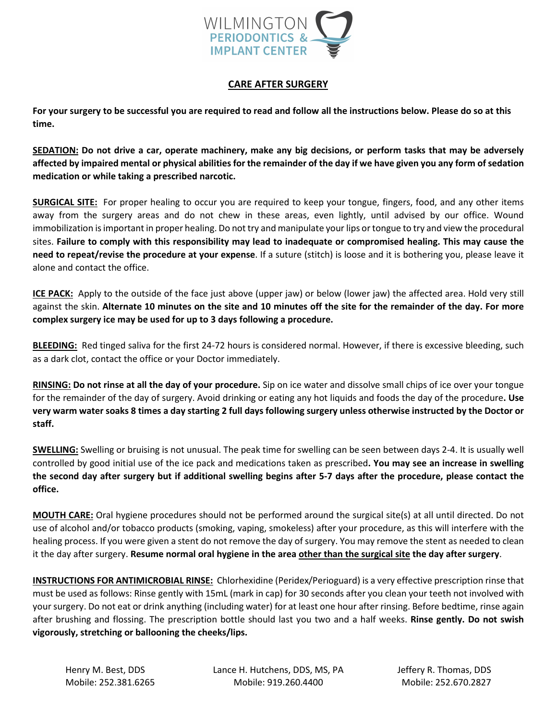

## **CARE AFTER SURGERY**

**For your surgery to be successful you are required to read and follow all the instructions below. Please do so at this time.** 

**SEDATION: Do not drive a car, operate machinery, make any big decisions, or perform tasks that may be adversely affected by impaired mental or physical abilities for the remainder of the day if we have given you any form of sedation medication or while taking a prescribed narcotic.**

**SURGICAL SITE:** For proper healing to occur you are required to keep your tongue, fingers, food, and any other items away from the surgery areas and do not chew in these areas, even lightly, until advised by our office. Wound immobilization is important in proper healing. Do not try and manipulate your lips or tongue to try and view the procedural sites. **Failure to comply with this responsibility may lead to inadequate or compromised healing. This may cause the need to repeat/revise the procedure at your expense**. If a suture (stitch) is loose and it is bothering you, please leave it alone and contact the office.

**ICE PACK:** Apply to the outside of the face just above (upper jaw) or below (lower jaw) the affected area. Hold very still against the skin. **Alternate 10 minutes on the site and 10 minutes off the site for the remainder of the day. For more complex surgery ice may be used for up to 3 days following a procedure.**

**BLEEDING:** Red tinged saliva for the first 24-72 hours is considered normal. However, if there is excessive bleeding, such as a dark clot, contact the office or your Doctor immediately.

**RINSING: Do not rinse at all the day of your procedure.** Sip on ice water and dissolve small chips of ice over your tongue for the remainder of the day of surgery. Avoid drinking or eating any hot liquids and foods the day of the procedure**. Use very warm water soaks 8 times a day starting 2 full days following surgery unless otherwise instructed by the Doctor or staff.**

**SWELLING:** Swelling or bruising is not unusual. The peak time for swelling can be seen between days 2-4. It is usually well controlled by good initial use of the ice pack and medications taken as prescribed**. You may see an increase in swelling the second day after surgery but if additional swelling begins after 5-7 days after the procedure, please contact the office.**

**MOUTH CARE:** Oral hygiene procedures should not be performed around the surgical site(s) at all until directed. Do not use of alcohol and/or tobacco products (smoking, vaping, smokeless) after your procedure, as this will interfere with the healing process. If you were given a stent do not remove the day of surgery. You may remove the stent as needed to clean it the day after surgery. **Resume normal oral hygiene in the area other than the surgical site the day after surgery**.

**INSTRUCTIONS FOR ANTIMICROBIAL RINSE:** Chlorhexidine (Peridex/Perioguard) is a very effective prescription rinse that must be used as follows: Rinse gently with 15mL (mark in cap) for 30 seconds after you clean your teeth not involved with your surgery. Do not eat or drink anything (including water) for at least one hour after rinsing. Before bedtime, rinse again after brushing and flossing. The prescription bottle should last you two and a half weeks. **Rinse gently. Do not swish vigorously, stretching or ballooning the cheeks/lips.**

Henry M. Best, DDS Lance H. Hutchens, DDS, MS, PA Jeffery R. Thomas, DDS Mobile: 252.381.6265 Mobile: 919.260.4400 Mobile: 252.670.2827